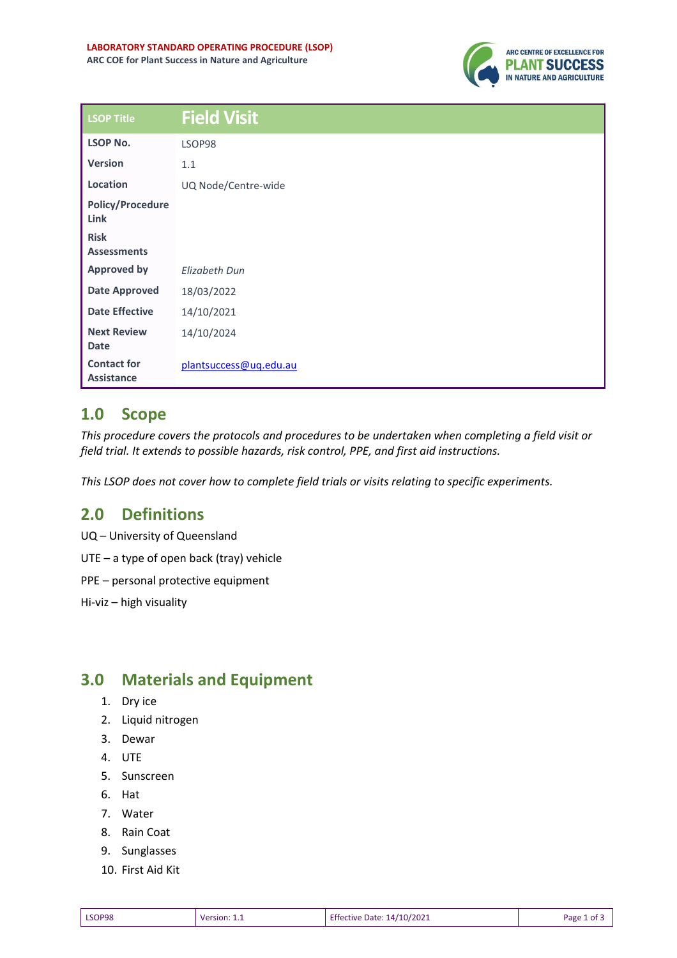

| <b>LSOP Title</b>                       | <b>Field Visit</b>     |
|-----------------------------------------|------------------------|
| <b>LSOP No.</b>                         | LSOP98                 |
| <b>Version</b>                          | 1.1                    |
| Location                                | UQ Node/Centre-wide    |
| <b>Policy/Procedure</b><br>Link         |                        |
| <b>Risk</b><br><b>Assessments</b>       |                        |
| <b>Approved by</b>                      | Elizabeth Dun          |
| <b>Date Approved</b>                    | 18/03/2022             |
| <b>Date Effective</b>                   | 14/10/2021             |
| <b>Next Review</b><br><b>Date</b>       | 14/10/2024             |
| <b>Contact for</b><br><b>Assistance</b> | plantsuccess@uq.edu.au |

### **1.0 Scope**

*This procedure covers the protocols and procedures to be undertaken when completing a field visit or field trial. It extends to possible hazards, risk control, PPE, and first aid instructions.*

*This LSOP does not cover how to complete field trials or visits relating to specific experiments.* 

# **2.0 Definitions**

UQ – University of Queensland UTE – a type of open back (tray) vehicle

PPE – personal protective equipment

Hi-viz – high visuality

# **3.0 Materials and Equipment**

- 1. Dry ice
- 2. Liquid nitrogen
- 3. Dewar
- 4. UTE
- 5. Sunscreen
- 6. Hat
- 7. Water
- 8. Rain Coat
- 9. Sunglasses
- 10. First Aid Kit

| Effective Date: 14/10/2021<br>LSOP98<br>Page 1<br>Version: 1.1<br>______ |  |  |  | . of |
|--------------------------------------------------------------------------|--|--|--|------|
|--------------------------------------------------------------------------|--|--|--|------|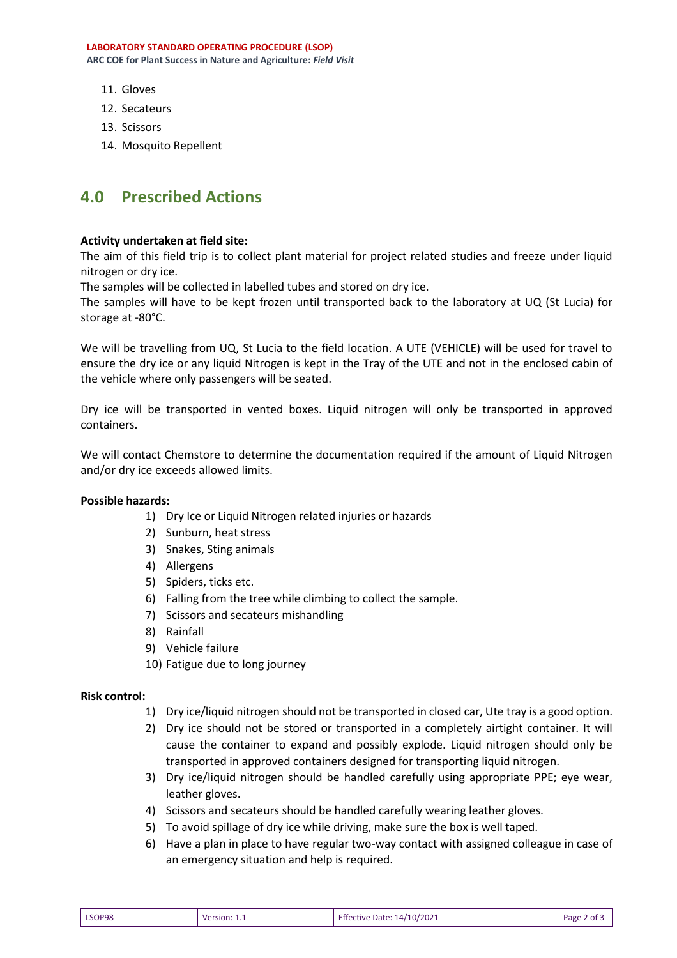**LABORATORY STANDARD OPERATING PROCEDURE (LSOP) ARC COE for Plant Success in Nature and Agriculture:** *Field Visit*

- 11. Gloves
- 12. Secateurs
- 13. Scissors
- 14. Mosquito Repellent

## **4.0 Prescribed Actions**

#### **Activity undertaken at field site:**

The aim of this field trip is to collect plant material for project related studies and freeze under liquid nitrogen or dry ice.

The samples will be collected in labelled tubes and stored on dry ice.

The samples will have to be kept frozen until transported back to the laboratory at UQ (St Lucia) for storage at -80°C.

We will be travelling from UQ, St Lucia to the field location. A UTE (VEHICLE) will be used for travel to ensure the dry ice or any liquid Nitrogen is kept in the Tray of the UTE and not in the enclosed cabin of the vehicle where only passengers will be seated.

Dry ice will be transported in vented boxes. Liquid nitrogen will only be transported in approved containers.

We will contact Chemstore to determine the documentation required if the amount of Liquid Nitrogen and/or dry ice exceeds allowed limits.

#### **Possible hazards:**

- 1) Dry Ice or Liquid Nitrogen related injuries or hazards
- 2) Sunburn, heat stress
- 3) Snakes, Sting animals
- 4) Allergens
- 5) Spiders, ticks etc.
- 6) Falling from the tree while climbing to collect the sample.
- 7) Scissors and secateurs mishandling
- 8) Rainfall
- 9) Vehicle failure
- 10) Fatigue due to long journey

#### **Risk control:**

- 1) Dry ice/liquid nitrogen should not be transported in closed car, Ute tray is a good option.
- 2) Dry ice should not be stored or transported in a completely airtight container. It will cause the container to expand and possibly explode. Liquid nitrogen should only be transported in approved containers designed for transporting liquid nitrogen.
- 3) Dry ice/liquid nitrogen should be handled carefully using appropriate PPE; eye wear, leather gloves.
- 4) Scissors and secateurs should be handled carefully wearing leather gloves.
- 5) To avoid spillage of dry ice while driving, make sure the box is well taped.
- 6) Have a plan in place to have regular two-way contact with assigned colleague in case of an emergency situation and help is required.

| LSOP98 | Version: 1.1 | <b>Effective Date: 14/10/2021</b> | Page 2 of 3 |
|--------|--------------|-----------------------------------|-------------|
|--------|--------------|-----------------------------------|-------------|